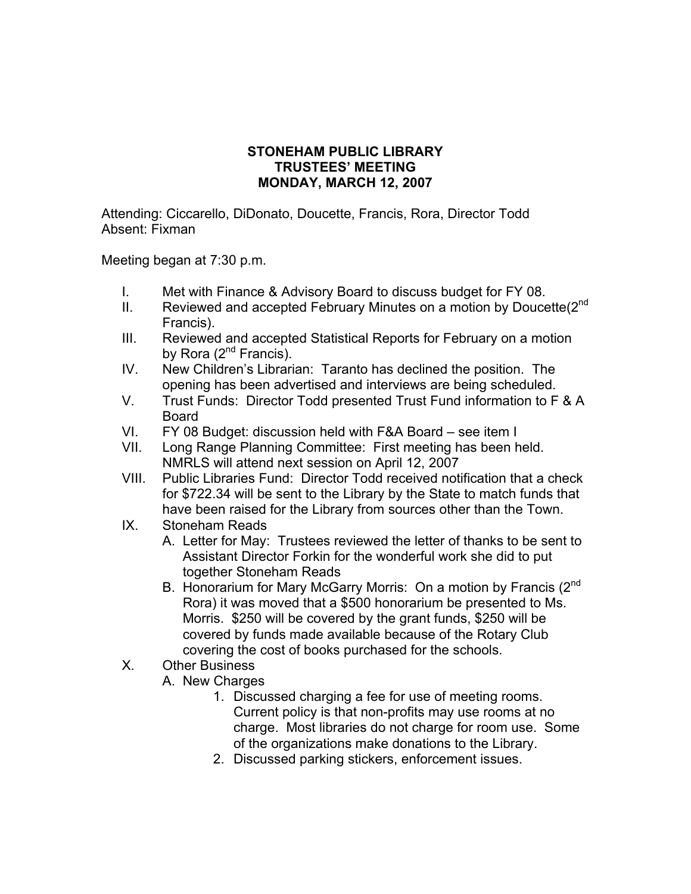## **STONEHAM PUBLIC LIBRARY TRUSTEES' MEETING MONDAY, MARCH 12, 2007**

Attending: Ciccarello, DiDonato, Doucette, Francis, Rora, Director Todd Absent: Fixman

Meeting began at 7:30 p.m.

- I. Met with Finance & Advisory Board to discuss budget for FY 08.
- II. Reviewed and accepted February Minutes on a motion by Doucette(2nd Francis).
- III. Reviewed and accepted Statistical Reports for February on a motion by Rora  $(2^{nd}$  Francis).
- IV. New Children's Librarian: Taranto has declined the position. The opening has been advertised and interviews are being scheduled.
- V. Trust Funds: Director Todd presented Trust Fund information to F & A Board
- VI. FY 08 Budget: discussion held with F&A Board see item I
- VII. Long Range Planning Committee: First meeting has been held. NMRLS will attend next session on April 12, 2007
- VIII. Public Libraries Fund: Director Todd received notification that a check for \$722.34 will be sent to the Library by the State to match funds that have been raised for the Library from sources other than the Town.
- IX. Stoneham Reads
	- A. Letter for May: Trustees reviewed the letter of thanks to be sent to Assistant Director Forkin for the wonderful work she did to put together Stoneham Reads
	- B. Honorarium for Mary McGarry Morris: On a motion by Francis (2<sup>nd</sup> Rora) it was moved that a \$500 honorarium be presented to Ms. Morris. \$250 will be covered by the grant funds, \$250 will be covered by funds made available because of the Rotary Club covering the cost of books purchased for the schools.
- X. Other Business
	- A. New Charges
		- 1. Discussed charging a fee for use of meeting rooms. Current policy is that non-profits may use rooms at no charge. Most libraries do not charge for room use. Some of the organizations make donations to the Library.
		- 2. Discussed parking stickers, enforcement issues.